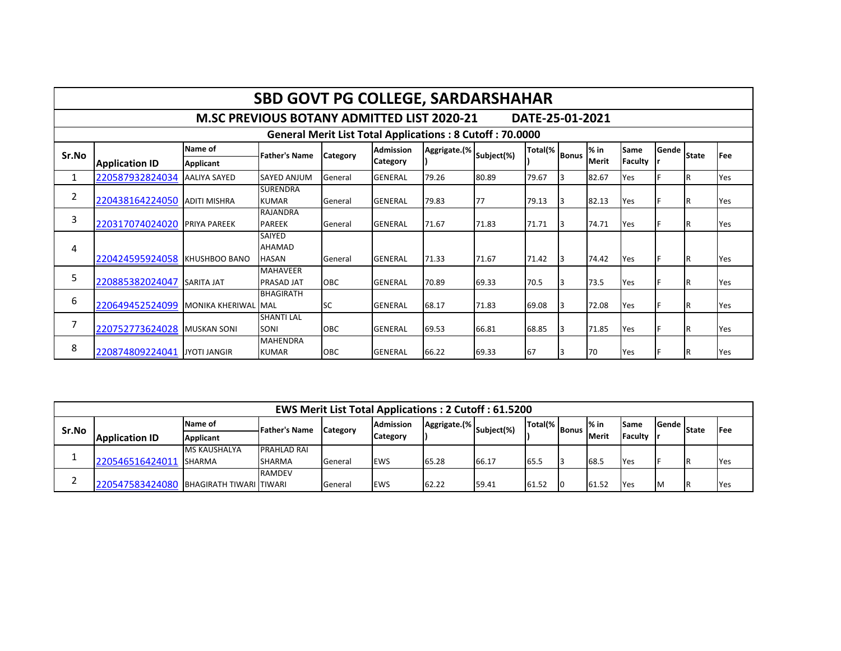|                                                                 | <b>SBD GOVT PG COLLEGE, SARDARSHAHAR</b>                             |                     |                                         |            |                  |              |            |         |              |        |             |       |              |            |
|-----------------------------------------------------------------|----------------------------------------------------------------------|---------------------|-----------------------------------------|------------|------------------|--------------|------------|---------|--------------|--------|-------------|-------|--------------|------------|
|                                                                 | <b>M.SC PREVIOUS BOTANY ADMITTED LIST 2020-21</b><br>DATE-25-01-2021 |                     |                                         |            |                  |              |            |         |              |        |             |       |              |            |
| <b>General Merit List Total Applications: 8 Cutoff: 70.0000</b> |                                                                      |                     |                                         |            |                  |              |            |         |              |        |             |       |              |            |
| Sr.No                                                           |                                                                      | Name of             | <b>Father's Name</b>                    | Category   | <b>Admission</b> | Aggrigate.(% | Subject(%) | Total(% | <b>Bonus</b> | $%$ in | <b>Same</b> | Gende | <b>State</b> | <b>Fee</b> |
|                                                                 | <b>Application ID</b>                                                | Applicant           |                                         |            | <b>Category</b>  |              |            |         |              | Merit  | Faculty     |       |              |            |
| 1                                                               | 220587932824034                                                      | <b>AALIYA SAYED</b> | <b>SAYED ANJUM</b>                      | General    | <b>GENERAL</b>   | 79.26        | 80.89      | 79.67   | 3            | 82.67  | Yes         |       | lR.          | Yes        |
| $\overline{2}$                                                  | 220438164224050                                                      | ADITI MISHRA        | <b>SURENDRA</b><br><b>KUMAR</b>         | General    | <b>GENERAL</b>   | 79.83        | 77         | 79.13   | 3            | 82.13  | Yes         |       | IR.          | Yes        |
| 3                                                               | 220317074024020 PRIYA PAREEK                                         |                     | <b>RAJANDRA</b><br><b>PAREEK</b>        | General    | <b>GENERAL</b>   | 71.67        | 71.83      | 71.71   | 3            | 74.71  | Yes         |       | IR.          | Yes        |
| 4                                                               | 220424595924058 KHUSHBOO BANO                                        |                     | <b>SAIYED</b><br>AHAMAD<br><b>HASAN</b> | General    | <b>GENERAL</b>   | 71.33        | 71.67      | 71.42   | 3            | 74.42  | Yes         |       | IR.          | Yes        |
| 5                                                               | 220885382024047                                                      | <b>SARITA JAT</b>   | <b>MAHAVEER</b><br><b>PRASAD JAT</b>    | <b>OBC</b> | <b>GENERAL</b>   | 70.89        | 69.33      | 70.5    | 3            | 73.5   | Yes         |       | IR.          | Yes        |
| 6                                                               | 220649452524099                                                      | MONIKA KHERIWAL MAL | <b>BHAGIRATH</b>                        | lsc        | <b>GENERAL</b>   | 68.17        | 71.83      | 69.08   | 3            | 72.08  | Yes         |       | IR.          | Yes        |
| $\overline{7}$                                                  | 220752773624028 MUSKAN SONI                                          |                     | <b>SHANTI LAL</b><br>SONI               | <b>OBC</b> | <b>GENERAL</b>   | 69.53        | 66.81      | 68.85   | 3            | 71.85  | Yes         |       | IR.          | Yes        |
| 8                                                               | 220874809224041 JYOTI JANGIR                                         |                     | <b>MAHENDRA</b><br><b>KUMAR</b>         | OBC        | <b>GENERAL</b>   | 66.22        | 69.33      | 67      | 3            | 70     | Yes         |       | IR.          | Yes        |

| <b>EWS Merit List Total Applications: 2 Cutoff: 61.5200</b> |                                         |                     |                    |                 |                  |       |                                       |               |  |                        |                        |       |              |             |
|-------------------------------------------------------------|-----------------------------------------|---------------------|--------------------|-----------------|------------------|-------|---------------------------------------|---------------|--|------------------------|------------------------|-------|--------------|-------------|
| Sr.No                                                       |                                         | Name of             | -Father's Name     | <b>Category</b> | <b>Admission</b> |       | July 1988   Aggrigate. (% Subject (%) | Total(% Bonus |  | l% in<br><b>IMerit</b> | <b>Same</b><br>Faculty | Gende | <b>State</b> | <b>IFee</b> |
|                                                             | <b>Application ID</b>                   | Applicant           |                    |                 | Category         |       |                                       |               |  |                        |                        |       |              |             |
|                                                             |                                         | <b>MS KAUSHALYA</b> | <b>PRAHLAD RAI</b> |                 |                  |       |                                       |               |  |                        |                        |       |              |             |
|                                                             | 220546516424011 SHARMA                  |                     | <b>SHARMA</b>      | General         | <b>EWS</b>       | 65.28 | 66.17                                 | 65.5          |  | 68.5                   | <b>IYes</b>            |       |              | <b>Yes</b>  |
|                                                             |                                         |                     | <b>RAMDEV</b>      |                 |                  |       |                                       |               |  |                        |                        |       |              |             |
|                                                             | 220547583424080 BHAGIRATH TIWARI TIWARI |                     |                    | General         | <b>EWS</b>       | 62.22 | 59.41                                 | 61.52         |  | 61.52                  | <b>Yes</b>             |       |              | Yes         |